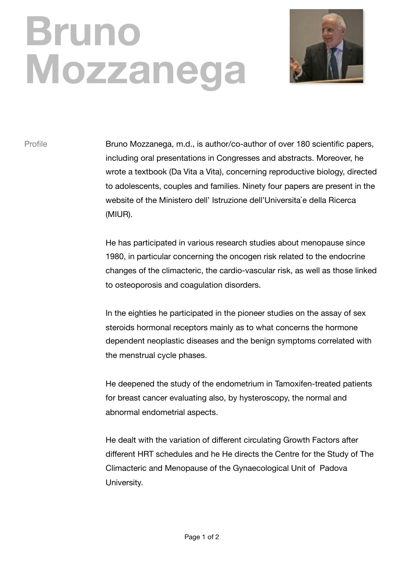## **Bruno Mozzanega**



Profile Bruno Mozzanega, m.d., is author/co-author of over 180 scientific papers, including oral presentations in Congresses and abstracts. Moreover, he wrote a textbook (Da Vita a Vita), concerning reproductive biology, directed to adolescents, couples and families. Ninety four papers are present in the website of the Ministero dell' Istruzione dell'Universita`e della Ricerca (MIUR).

> He has participated in various research studies about menopause since 1980, in particular concerning the oncogen risk related to the endocrine changes of the climacteric, the cardio-vascular risk, as well as those linked to osteoporosis and coagulation disorders.

In the eighties he participated in the pioneer studies on the assay of sex steroids hormonal receptors mainly as to what concerns the hormone dependent neoplastic diseases and the benign symptoms correlated with the menstrual cycle phases.

He deepened the study of the endometrium in Tamoxifen-treated patients for breast cancer evaluating also, by hysteroscopy, the normal and abnormal endometrial aspects.

He dealt with the variation of different circulating Growth Factors after different HRT schedules and he He directs the Centre for the Study of The Climacteric and Menopause of the Gynaecological Unit of Padova University.